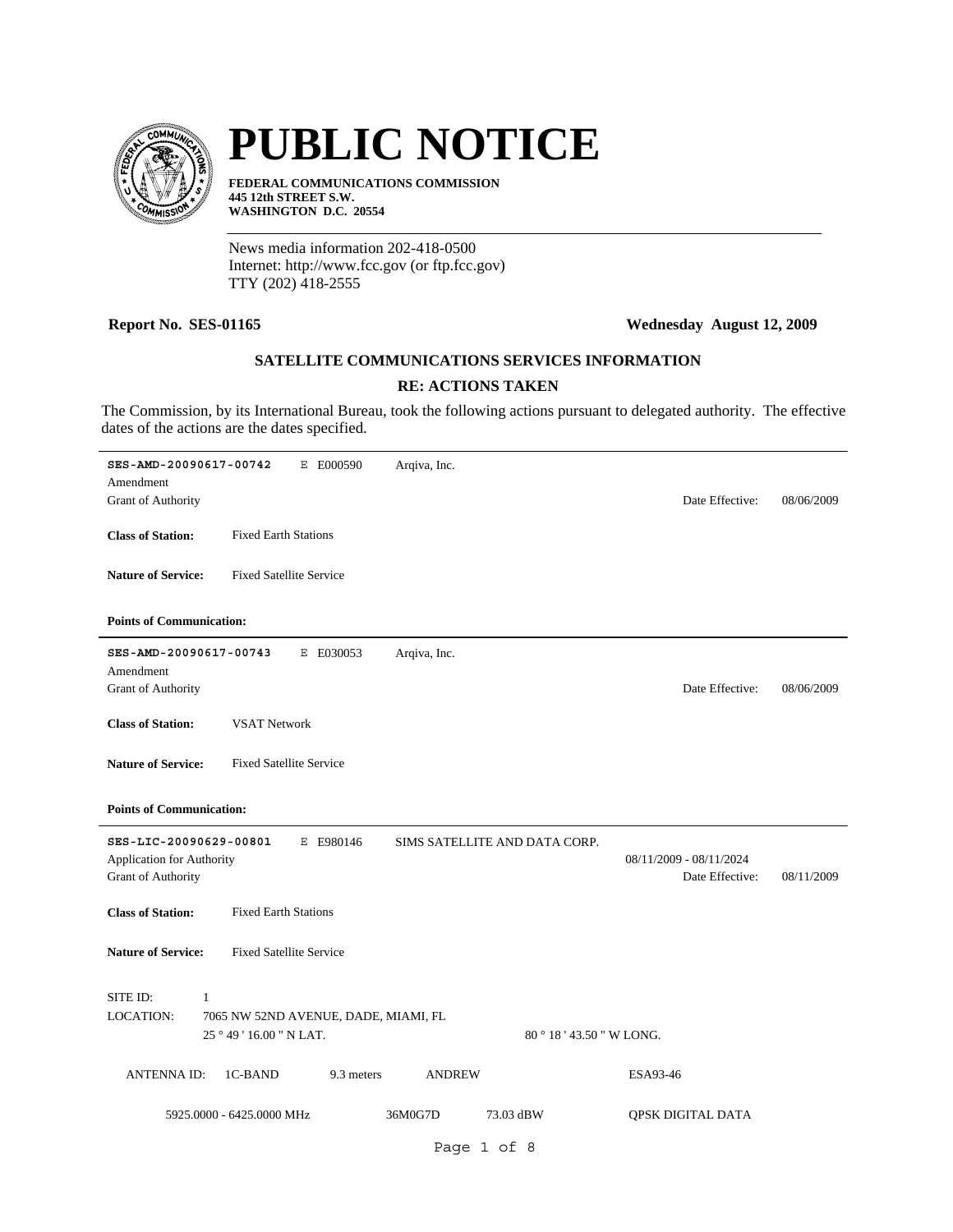

# **PUBLIC NOTICE**

**FEDERAL COMMUNICATIONS COMMISSION 445 12th STREET S.W. WASHINGTON D.C. 20554**

News media information 202-418-0500 Internet: http://www.fcc.gov (or ftp.fcc.gov) TTY (202) 418-2555

# **Report No. SES-01165 Wednesday August 12, 2009**

# **SATELLITE COMMUNICATIONS SERVICES INFORMATION**

# **RE: ACTIONS TAKEN**

The Commission, by its International Bureau, took the following actions pursuant to delegated authority. The effective dates of the actions are the dates specified.

| SES-AMD-20090617-00742<br>Amendment<br><b>Grant of Authority</b>          | E E000590                                                        | Arqiva, Inc.  |                               | Date Effective:                            | 08/06/2009 |
|---------------------------------------------------------------------------|------------------------------------------------------------------|---------------|-------------------------------|--------------------------------------------|------------|
| <b>Class of Station:</b>                                                  | <b>Fixed Earth Stations</b>                                      |               |                               |                                            |            |
| <b>Nature of Service:</b>                                                 | <b>Fixed Satellite Service</b>                                   |               |                               |                                            |            |
| <b>Points of Communication:</b>                                           |                                                                  |               |                               |                                            |            |
| SES-AMD-20090617-00743<br>Amendment<br>Grant of Authority                 | E E030053                                                        | Arqiva, Inc.  |                               | Date Effective:                            | 08/06/2009 |
| <b>Class of Station:</b>                                                  | <b>VSAT Network</b>                                              |               |                               |                                            |            |
| <b>Nature of Service:</b>                                                 | <b>Fixed Satellite Service</b>                                   |               |                               |                                            |            |
| <b>Points of Communication:</b>                                           |                                                                  |               |                               |                                            |            |
| SES-LIC-20090629-00801<br>Application for Authority<br>Grant of Authority | E E980146                                                        |               | SIMS SATELLITE AND DATA CORP. | 08/11/2009 - 08/11/2024<br>Date Effective: | 08/11/2009 |
| <b>Class of Station:</b>                                                  | <b>Fixed Earth Stations</b>                                      |               |                               |                                            |            |
| <b>Nature of Service:</b>                                                 | <b>Fixed Satellite Service</b>                                   |               |                               |                                            |            |
| SITE ID:<br>1<br><b>LOCATION:</b>                                         | 7065 NW 52ND AVENUE, DADE, MIAMI, FL<br>25 ° 49 ' 16.00 " N LAT. |               | 80 ° 18 ' 43.50 " W LONG.     |                                            |            |
| <b>ANTENNAID:</b>                                                         | 1C-BAND<br>9.3 meters                                            | <b>ANDREW</b> |                               | ESA93-46                                   |            |
|                                                                           | 5925.0000 - 6425.0000 MHz                                        | 36M0G7D       | 73.03 dBW                     | QPSK DIGITAL DATA                          |            |
|                                                                           |                                                                  |               | Page 1 of 8                   |                                            |            |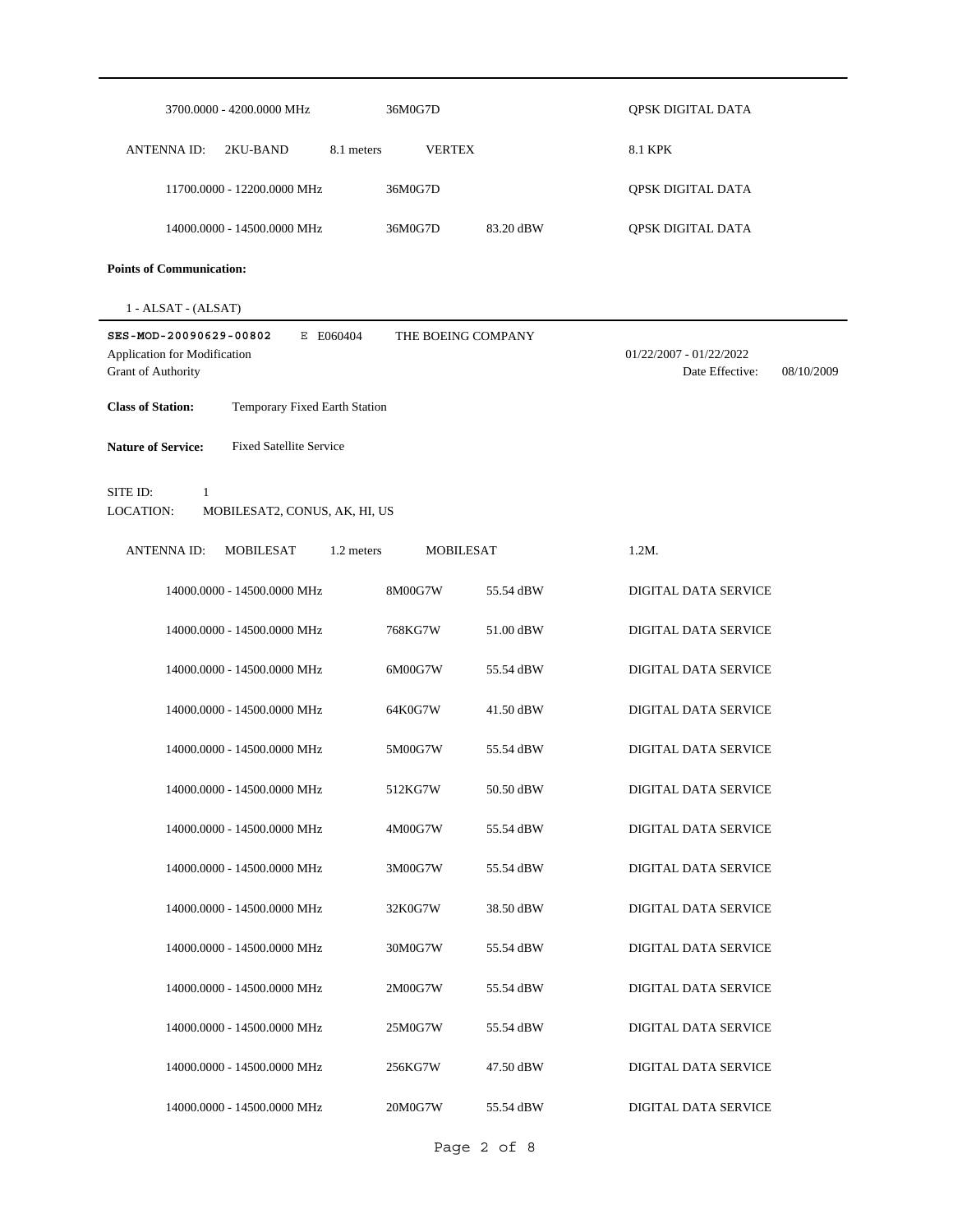| 3700.0000 - 4200.0000 MHz                                                                 | 36M0G7D                        |                    | QPSK DIGITAL DATA                                        |
|-------------------------------------------------------------------------------------------|--------------------------------|--------------------|----------------------------------------------------------|
| <b>ANTENNA ID:</b><br>2KU-BAND                                                            | <b>VERTEX</b><br>8.1 meters    |                    | <b>8.1 KPK</b>                                           |
| 11700.0000 - 12200.0000 MHz                                                               | 36M0G7D                        |                    | QPSK DIGITAL DATA                                        |
| 14000.0000 - 14500.0000 MHz                                                               | 36M0G7D                        | 83.20 dBW          | QPSK DIGITAL DATA                                        |
| <b>Points of Communication:</b>                                                           |                                |                    |                                                          |
| 1 - ALSAT - (ALSAT)                                                                       |                                |                    |                                                          |
| SES-MOD-20090629-00802<br>E E060404<br>Application for Modification<br>Grant of Authority |                                | THE BOEING COMPANY | 01/22/2007 - 01/22/2022<br>Date Effective:<br>08/10/2009 |
| <b>Class of Station:</b><br>Temporary Fixed Earth Station                                 |                                |                    |                                                          |
| <b>Nature of Service:</b><br><b>Fixed Satellite Service</b>                               |                                |                    |                                                          |
| SITE ID:<br>$\mathbf{1}$<br>LOCATION:<br>MOBILESAT2, CONUS, AK, HI, US                    |                                |                    |                                                          |
| MOBILESAT<br><b>ANTENNA ID:</b>                                                           | <b>MOBILESAT</b><br>1.2 meters |                    | $1.2M$ .                                                 |
| 14000.0000 - 14500.0000 MHz                                                               | 8M00G7W                        | 55.54 dBW          | DIGITAL DATA SERVICE                                     |
| 14000.0000 - 14500.0000 MHz                                                               | 768KG7W                        | 51.00 dBW          | <b>DIGITAL DATA SERVICE</b>                              |
| 14000.0000 - 14500.0000 MHz                                                               | 6M00G7W                        | 55.54 dBW          | DIGITAL DATA SERVICE                                     |
| 14000.0000 - 14500.0000 MHz                                                               | 64K0G7W                        | 41.50 dBW          | DIGITAL DATA SERVICE                                     |
| 14000.0000 - 14500.0000 MHz                                                               | 5M00G7W                        | 55.54 dBW          | DIGITAL DATA SERVICE                                     |
| 14000.0000 - 14500.0000 MHz                                                               | 512KG7W                        | 50.50 dBW          | DIGITAL DATA SERVICE                                     |
| 14000.0000 - 14500.0000 MHz                                                               | 4M00G7W                        | 55.54 dBW          | DIGITAL DATA SERVICE                                     |
| 14000.0000 - 14500.0000 MHz                                                               | 3M00G7W                        | 55.54 dBW          | DIGITAL DATA SERVICE                                     |
| 14000.0000 - 14500.0000 MHz                                                               | 32K0G7W                        | 38.50 dBW          | DIGITAL DATA SERVICE                                     |
| 14000.0000 - 14500.0000 MHz                                                               | 30M0G7W                        | 55.54 dBW          | DIGITAL DATA SERVICE                                     |
| 14000.0000 - 14500.0000 MHz                                                               | 2M00G7W                        | 55.54 dBW          | DIGITAL DATA SERVICE                                     |
| 14000.0000 - 14500.0000 MHz                                                               | 25M0G7W                        | 55.54 dBW          | DIGITAL DATA SERVICE                                     |
| 14000.0000 - 14500.0000 MHz                                                               | 256KG7W                        | 47.50 dBW          | DIGITAL DATA SERVICE                                     |
| 14000.0000 - 14500.0000 MHz                                                               | 20M0G7W                        | 55.54 dBW          | DIGITAL DATA SERVICE                                     |

Page 2 of 8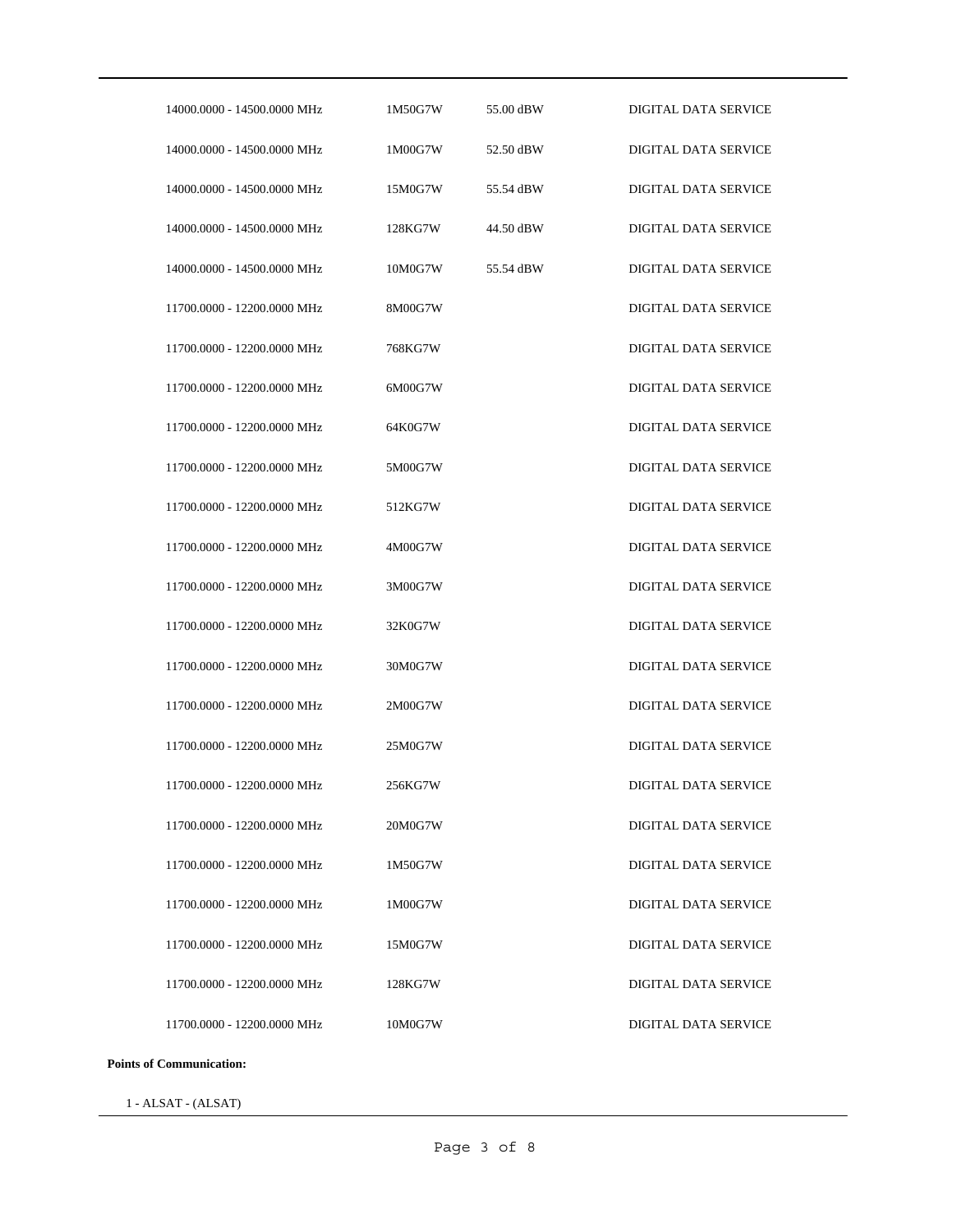| 14000.0000 - 14500.0000 MHz | 1M50G7W | 55.00 dBW | <b>DIGITAL DATA SERVICE</b> |
|-----------------------------|---------|-----------|-----------------------------|
| 14000.0000 - 14500.0000 MHz | 1M00G7W | 52.50 dBW | <b>DIGITAL DATA SERVICE</b> |
| 14000.0000 - 14500.0000 MHz | 15M0G7W | 55.54 dBW | DIGITAL DATA SERVICE        |
| 14000.0000 - 14500.0000 MHz | 128KG7W | 44.50 dBW | <b>DIGITAL DATA SERVICE</b> |
| 14000.0000 - 14500.0000 MHz | 10M0G7W | 55.54 dBW | <b>DIGITAL DATA SERVICE</b> |
| 11700.0000 - 12200.0000 MHz | 8M00G7W |           | DIGITAL DATA SERVICE        |
| 11700.0000 - 12200.0000 MHz | 768KG7W |           | DIGITAL DATA SERVICE        |
| 11700.0000 - 12200.0000 MHz | 6M00G7W |           | <b>DIGITAL DATA SERVICE</b> |
| 11700.0000 - 12200.0000 MHz | 64K0G7W |           | <b>DIGITAL DATA SERVICE</b> |
| 11700.0000 - 12200.0000 MHz | 5M00G7W |           | <b>DIGITAL DATA SERVICE</b> |
| 11700.0000 - 12200.0000 MHz | 512KG7W |           | <b>DIGITAL DATA SERVICE</b> |
| 11700.0000 - 12200.0000 MHz | 4M00G7W |           | <b>DIGITAL DATA SERVICE</b> |
| 11700.0000 - 12200.0000 MHz | 3M00G7W |           | <b>DIGITAL DATA SERVICE</b> |
| 11700.0000 - 12200.0000 MHz | 32K0G7W |           | <b>DIGITAL DATA SERVICE</b> |
| 11700.0000 - 12200.0000 MHz | 30M0G7W |           | DIGITAL DATA SERVICE        |
| 11700.0000 - 12200.0000 MHz | 2M00G7W |           | <b>DIGITAL DATA SERVICE</b> |
| 11700.0000 - 12200.0000 MHz | 25M0G7W |           | <b>DIGITAL DATA SERVICE</b> |
| 11700.0000 - 12200.0000 MHz | 256KG7W |           | DIGITAL DATA SERVICE        |
| 11700.0000 - 12200.0000 MHz | 20M0G7W |           | <b>DIGITAL DATA SERVICE</b> |
| 11700.0000 - 12200.0000 MHz | 1M50G7W |           | <b>DIGITAL DATA SERVICE</b> |
| 11700.0000 - 12200.0000 MHz | 1M00G7W |           | DIGITAL DATA SERVICE        |
| 11700.0000 - 12200.0000 MHz | 15M0G7W |           | <b>DIGITAL DATA SERVICE</b> |
| 11700.0000 - 12200.0000 MHz | 128KG7W |           | DIGITAL DATA SERVICE        |
| 11700.0000 - 12200.0000 MHz | 10M0G7W |           | DIGITAL DATA SERVICE        |

**Points of Communication:**

1 - ALSAT - (ALSAT)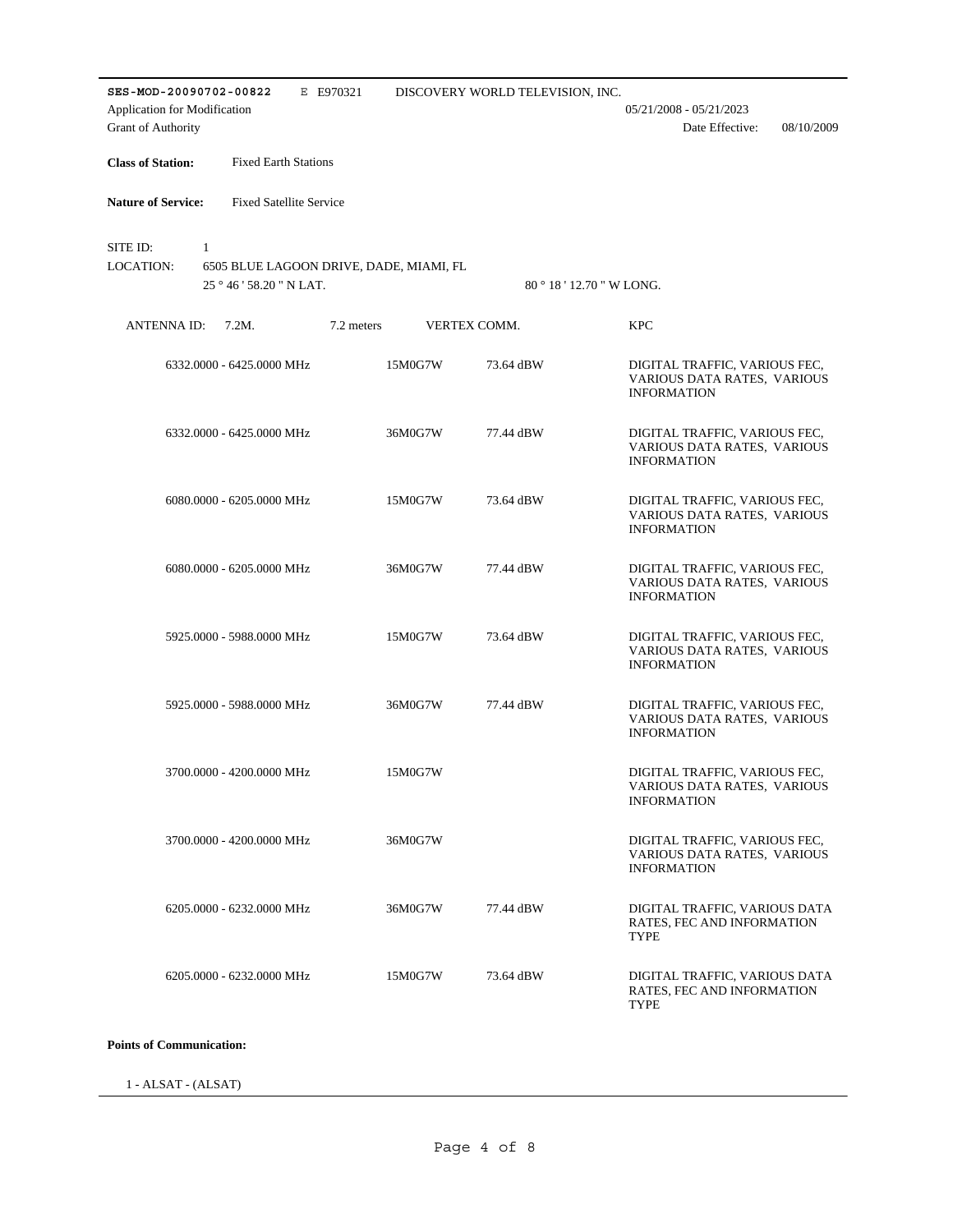| E E970321<br>SES-MOD-20090702-00822<br>Application for Modification<br>Grant of Authority               |         | DISCOVERY WORLD TELEVISION, INC. | $05/21/2008 - 05/21/2023$<br>Date Effective:<br>08/10/2009                         |
|---------------------------------------------------------------------------------------------------------|---------|----------------------------------|------------------------------------------------------------------------------------|
| <b>Class of Station:</b><br><b>Fixed Earth Stations</b>                                                 |         |                                  |                                                                                    |
| <b>Nature of Service:</b><br><b>Fixed Satellite Service</b>                                             |         |                                  |                                                                                    |
| SITE ID:<br>$\mathbf{1}$<br>LOCATION:<br>6505 BLUE LAGOON DRIVE, DADE, MIAMI, FL<br>25°46'58.20" N LAT. |         |                                  | 80 ° 18 ' 12.70 " W LONG.                                                          |
| ANTENNA ID:<br>$7.2M$ .<br>7.2 meters                                                                   |         | VERTEX COMM.                     | <b>KPC</b>                                                                         |
| 6332.0000 - 6425.0000 MHz                                                                               | 15M0G7W | 73.64 dBW                        | DIGITAL TRAFFIC, VARIOUS FEC,<br>VARIOUS DATA RATES, VARIOUS<br><b>INFORMATION</b> |
| 6332.0000 - 6425.0000 MHz                                                                               | 36M0G7W | 77.44 dBW                        | DIGITAL TRAFFIC, VARIOUS FEC,<br>VARIOUS DATA RATES, VARIOUS<br><b>INFORMATION</b> |
| 6080.0000 - 6205.0000 MHz                                                                               | 15M0G7W | 73.64 dBW                        | DIGITAL TRAFFIC, VARIOUS FEC,<br>VARIOUS DATA RATES, VARIOUS<br><b>INFORMATION</b> |
| 6080.0000 - 6205.0000 MHz                                                                               | 36M0G7W | 77.44 dBW                        | DIGITAL TRAFFIC, VARIOUS FEC,<br>VARIOUS DATA RATES, VARIOUS<br><b>INFORMATION</b> |
| 5925.0000 - 5988.0000 MHz                                                                               | 15M0G7W | 73.64 dBW                        | DIGITAL TRAFFIC, VARIOUS FEC,<br>VARIOUS DATA RATES, VARIOUS<br><b>INFORMATION</b> |
| 5925,0000 - 5988,0000 MHz                                                                               | 36M0G7W | 77.44 dBW                        | DIGITAL TRAFFIC, VARIOUS FEC,<br>VARIOUS DATA RATES, VARIOUS<br><b>INFORMATION</b> |
| 3700.0000 - 4200.0000 MHz                                                                               | 15M0G7W |                                  | DIGITAL TRAFFIC, VARIOUS FEC,<br>VARIOUS DATA RATES, VARIOUS<br><b>INFORMATION</b> |
| 3700.0000 - 4200.0000 MHz                                                                               | 36M0G7W |                                  | DIGITAL TRAFFIC, VARIOUS FEC,<br>VARIOUS DATA RATES, VARIOUS<br><b>INFORMATION</b> |
| 6205.0000 - 6232.0000 MHz                                                                               | 36M0G7W | 77.44 dBW                        | DIGITAL TRAFFIC, VARIOUS DATA<br>RATES, FEC AND INFORMATION<br>TYPE                |
| 6205.0000 - 6232.0000 MHz                                                                               | 15M0G7W | 73.64 dBW                        | DIGITAL TRAFFIC, VARIOUS DATA<br>RATES, FEC AND INFORMATION<br>TYPE                |

## **Points of Communication:**

1 - ALSAT - (ALSAT)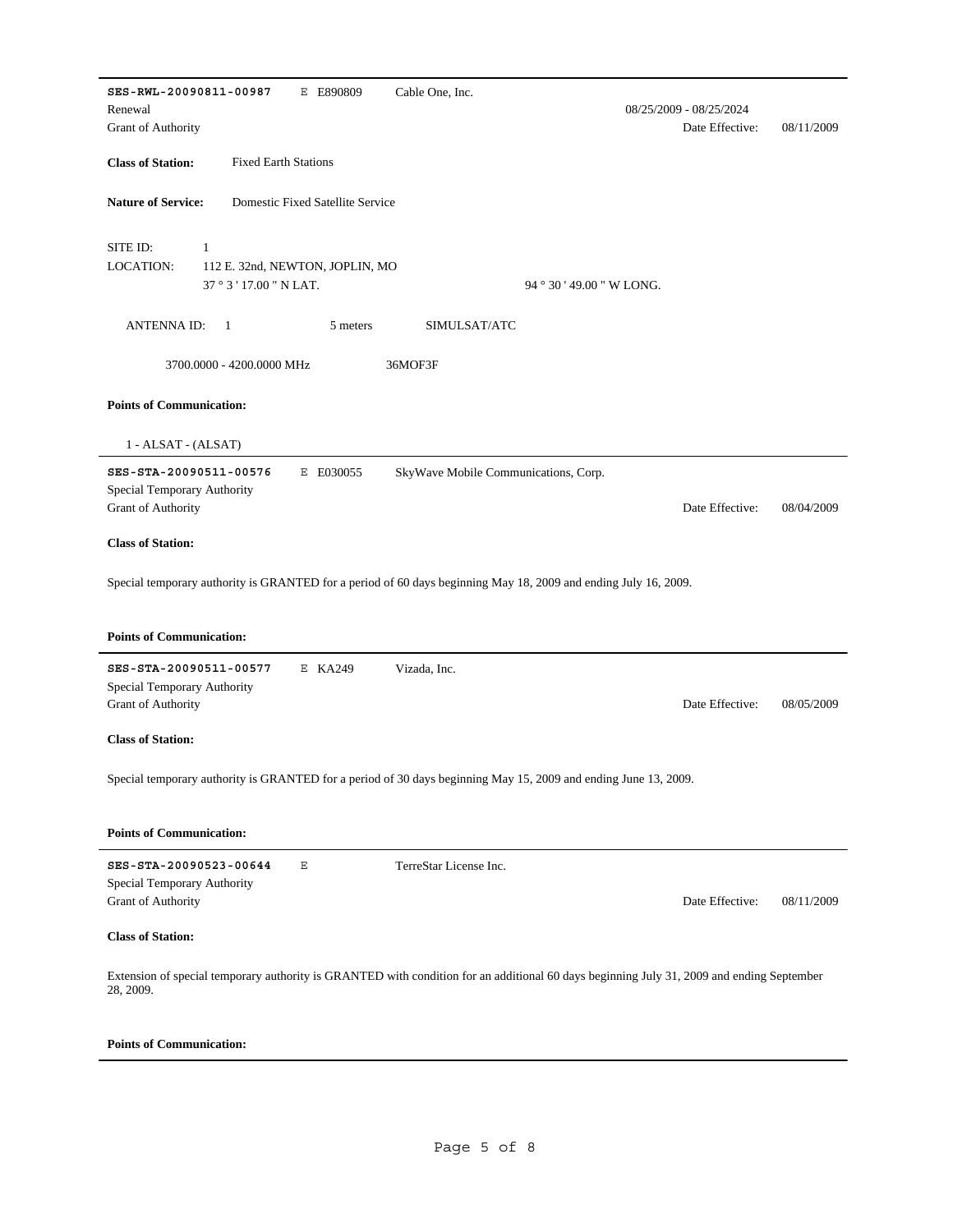| SES-RWL-20090811-00987<br>E E890809                           | Cable One, Inc.                                                                                                 |                                            |            |
|---------------------------------------------------------------|-----------------------------------------------------------------------------------------------------------------|--------------------------------------------|------------|
| Renewal<br>Grant of Authority                                 |                                                                                                                 | 08/25/2009 - 08/25/2024<br>Date Effective: | 08/11/2009 |
|                                                               |                                                                                                                 |                                            |            |
| <b>Class of Station:</b><br><b>Fixed Earth Stations</b>       |                                                                                                                 |                                            |            |
| <b>Nature of Service:</b><br>Domestic Fixed Satellite Service |                                                                                                                 |                                            |            |
| SITE ID:<br>$\mathbf{1}$                                      |                                                                                                                 |                                            |            |
| <b>LOCATION:</b><br>112 E. 32nd, NEWTON, JOPLIN, MO           |                                                                                                                 |                                            |            |
| 37 ° 3 ' 17.00 " N LAT.                                       | 94 ° 30 ' 49.00 " W LONG.                                                                                       |                                            |            |
| <b>ANTENNA ID:</b><br>$\mathbf{1}$                            | 5 meters<br>SIMULSAT/ATC                                                                                        |                                            |            |
| 3700.0000 - 4200.0000 MHz                                     | 36MOF3F                                                                                                         |                                            |            |
| <b>Points of Communication:</b>                               |                                                                                                                 |                                            |            |
| 1 - ALSAT - (ALSAT)                                           |                                                                                                                 |                                            |            |
| SES-STA-20090511-00576<br>E E030055                           | SkyWave Mobile Communications, Corp.                                                                            |                                            |            |
| Special Temporary Authority                                   |                                                                                                                 |                                            |            |
| Grant of Authority                                            |                                                                                                                 | Date Effective:                            | 08/04/2009 |
| <b>Class of Station:</b>                                      |                                                                                                                 |                                            |            |
|                                                               | Special temporary authority is GRANTED for a period of 60 days beginning May 18, 2009 and ending July 16, 2009. |                                            |            |
|                                                               |                                                                                                                 |                                            |            |
| <b>Points of Communication:</b>                               |                                                                                                                 |                                            |            |
| SES-STA-20090511-00577<br>E KA249                             | Vizada, Inc.                                                                                                    |                                            |            |
| Special Temporary Authority                                   |                                                                                                                 |                                            |            |
| Grant of Authority                                            |                                                                                                                 | Date Effective:                            | 08/05/2009 |
| <b>Class of Station:</b>                                      |                                                                                                                 |                                            |            |
|                                                               | Special temporary authority is GRANTED for a period of 30 days beginning May 15, 2009 and ending June 13, 2009. |                                            |            |
|                                                               |                                                                                                                 |                                            |            |
| <b>Points of Communication:</b>                               |                                                                                                                 |                                            |            |
| $\mathbf E$<br>SES-STA-20090523-00644                         |                                                                                                                 |                                            |            |
|                                                               | TerreStar License Inc.                                                                                          |                                            |            |
| Special Temporary Authority                                   |                                                                                                                 |                                            |            |
| <b>Grant of Authority</b>                                     |                                                                                                                 | Date Effective:                            | 08/11/2009 |
| <b>Class of Station:</b>                                      |                                                                                                                 |                                            |            |

## **Points of Communication:**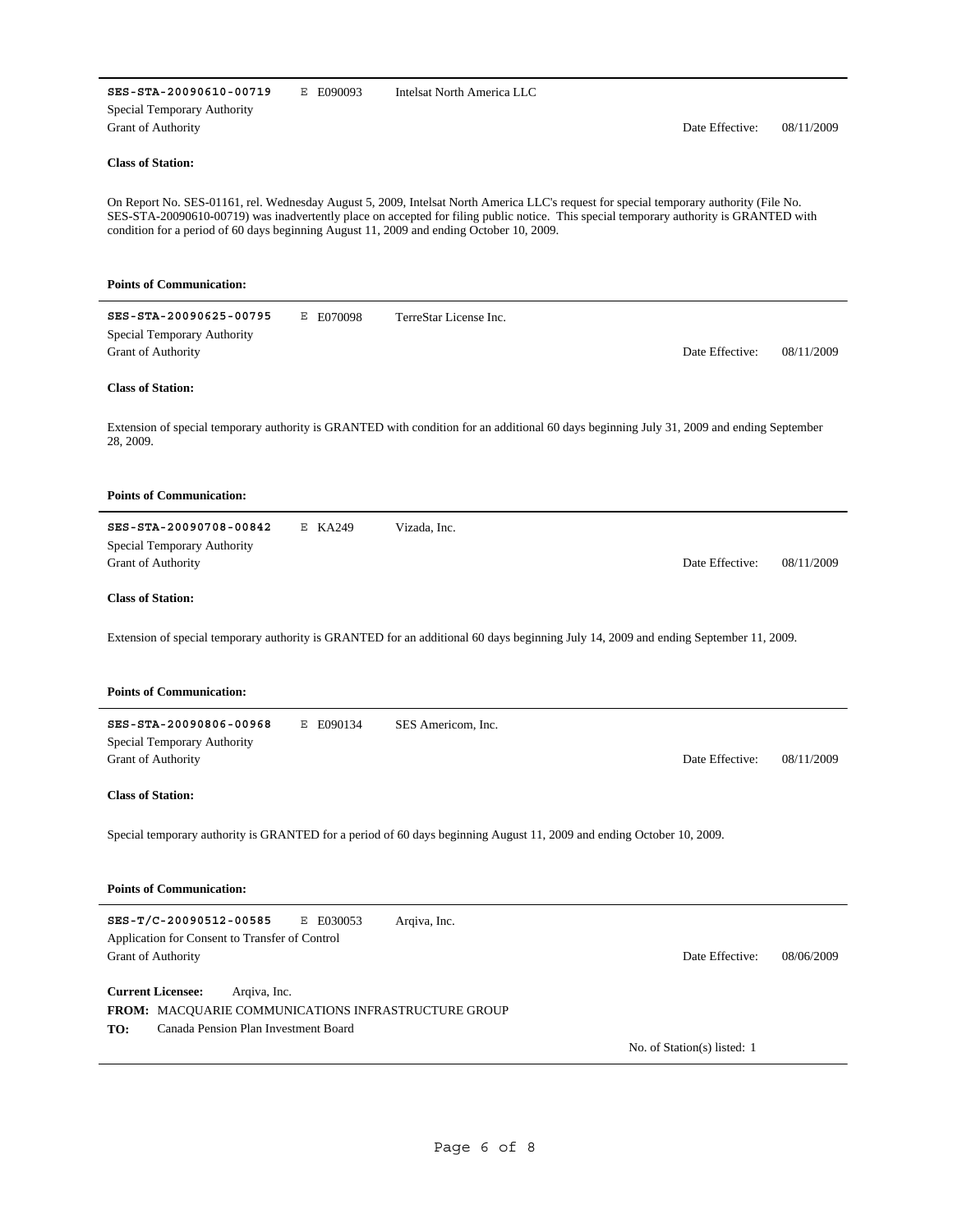| SES-STA-20090610-00719<br>Special Temporary Authority                                           | E E090093 | Intelsat North America LLC                                                                                                                                                                                                                                                                                                                                                   |                             |            |
|-------------------------------------------------------------------------------------------------|-----------|------------------------------------------------------------------------------------------------------------------------------------------------------------------------------------------------------------------------------------------------------------------------------------------------------------------------------------------------------------------------------|-----------------------------|------------|
| <b>Grant of Authority</b>                                                                       |           |                                                                                                                                                                                                                                                                                                                                                                              | Date Effective:             | 08/11/2009 |
| <b>Class of Station:</b>                                                                        |           |                                                                                                                                                                                                                                                                                                                                                                              |                             |            |
|                                                                                                 |           | On Report No. SES-01161, rel. Wednesday August 5, 2009, Intelsat North America LLC's request for special temporary authority (File No.<br>SES-STA-20090610-00719) was inadvertently place on accepted for filing public notice. This special temporary authority is GRANTED with<br>condition for a period of 60 days beginning August 11, 2009 and ending October 10, 2009. |                             |            |
| <b>Points of Communication:</b>                                                                 |           |                                                                                                                                                                                                                                                                                                                                                                              |                             |            |
| SES-STA-20090625-00795<br>Special Temporary Authority<br><b>Grant of Authority</b>              | E E070098 | TerreStar License Inc.                                                                                                                                                                                                                                                                                                                                                       | Date Effective:             | 08/11/2009 |
| <b>Class of Station:</b>                                                                        |           |                                                                                                                                                                                                                                                                                                                                                                              |                             |            |
| 28, 2009.                                                                                       |           | Extension of special temporary authority is GRANTED with condition for an additional 60 days beginning July 31, 2009 and ending September                                                                                                                                                                                                                                    |                             |            |
| <b>Points of Communication:</b>                                                                 |           |                                                                                                                                                                                                                                                                                                                                                                              |                             |            |
| SES-STA-20090708-00842<br>Special Temporary Authority<br><b>Grant of Authority</b>              | E KA249   | Vizada, Inc.                                                                                                                                                                                                                                                                                                                                                                 | Date Effective:             | 08/11/2009 |
| <b>Class of Station:</b>                                                                        |           |                                                                                                                                                                                                                                                                                                                                                                              |                             |            |
|                                                                                                 |           | Extension of special temporary authority is GRANTED for an additional 60 days beginning July 14, 2009 and ending September 11, 2009.                                                                                                                                                                                                                                         |                             |            |
| <b>Points of Communication:</b>                                                                 |           |                                                                                                                                                                                                                                                                                                                                                                              |                             |            |
| SES-STA-20090806-00968                                                                          | E E090134 | SES Americom, Inc.                                                                                                                                                                                                                                                                                                                                                           |                             |            |
| Special Temporary Authority<br><b>Grant of Authority</b>                                        |           |                                                                                                                                                                                                                                                                                                                                                                              | Date Effective:             | 08/11/2009 |
| <b>Class of Station:</b>                                                                        |           |                                                                                                                                                                                                                                                                                                                                                                              |                             |            |
|                                                                                                 |           | Special temporary authority is GRANTED for a period of 60 days beginning August 11, 2009 and ending October 10, 2009.                                                                                                                                                                                                                                                        |                             |            |
| <b>Points of Communication:</b>                                                                 |           |                                                                                                                                                                                                                                                                                                                                                                              |                             |            |
| SES-T/C-20090512-00585<br>Application for Consent to Transfer of Control<br>Grant of Authority  | E E030053 | Arqiva, Inc.                                                                                                                                                                                                                                                                                                                                                                 | Date Effective:             | 08/06/2009 |
| <b>Current Licensee:</b><br>Arqiva, Inc.<br>FROM: MACQUARIE COMMUNICATIONS INFRASTRUCTURE GROUP |           |                                                                                                                                                                                                                                                                                                                                                                              |                             |            |
| Canada Pension Plan Investment Board<br>TO:                                                     |           |                                                                                                                                                                                                                                                                                                                                                                              | No. of Station(s) listed: 1 |            |
|                                                                                                 |           |                                                                                                                                                                                                                                                                                                                                                                              |                             |            |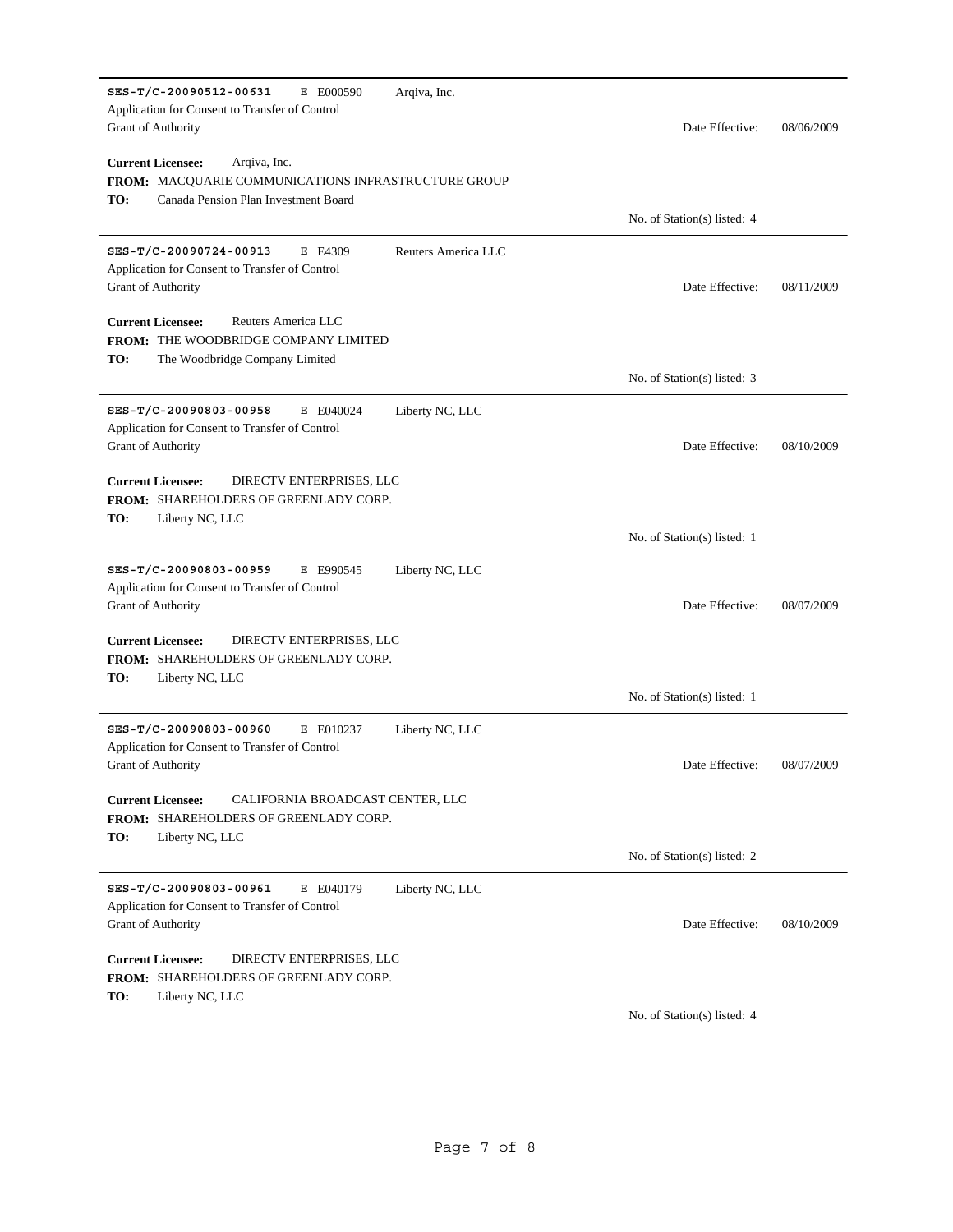| SES-T/C-20090512-00631<br>E E000590<br>Arqiva, Inc.<br>Application for Consent to Transfer of Control<br><b>Grant of Authority</b>             | Date Effective:             | 08/06/2009 |
|------------------------------------------------------------------------------------------------------------------------------------------------|-----------------------------|------------|
| <b>Current Licensee:</b><br>Arqiva, Inc.<br>FROM: MACQUARIE COMMUNICATIONS INFRASTRUCTURE GROUP<br>Canada Pension Plan Investment Board<br>TO: |                             |            |
|                                                                                                                                                | No. of Station(s) listed: 4 |            |
| SES-T/C-20090724-00913<br>E E4309<br>Reuters America LLC<br>Application for Consent to Transfer of Control<br><b>Grant of Authority</b>        | Date Effective:             | 08/11/2009 |
| <b>Current Licensee:</b><br>Reuters America LLC<br>FROM: THE WOODBRIDGE COMPANY LIMITED<br>TO:<br>The Woodbridge Company Limited               |                             |            |
|                                                                                                                                                | No. of Station(s) listed: 3 |            |
| SES-T/C-20090803-00958<br>E E040024<br>Liberty NC, LLC<br>Application for Consent to Transfer of Control<br><b>Grant of Authority</b>          | Date Effective:             | 08/10/2009 |
| <b>Current Licensee:</b><br>DIRECTV ENTERPRISES, LLC<br>FROM: SHAREHOLDERS OF GREENLADY CORP.<br>TO:<br>Liberty NC, LLC                        |                             |            |
|                                                                                                                                                | No. of Station(s) listed: 1 |            |
| SES-T/C-20090803-00959<br>E E990545<br>Liberty NC, LLC<br>Application for Consent to Transfer of Control<br><b>Grant of Authority</b>          | Date Effective:             | 08/07/2009 |
| <b>Current Licensee:</b><br>DIRECTV ENTERPRISES, LLC<br>FROM: SHAREHOLDERS OF GREENLADY CORP.<br>TO:<br>Liberty NC, LLC                        |                             |            |
|                                                                                                                                                | No. of Station(s) listed: 1 |            |
| SES-T/C-20090803-00960<br>E E010237<br>Liberty NC, LLC<br>Application for Consent to Transfer of Control<br><b>Grant of Authority</b>          | Date Effective:             | 08/07/2009 |
| CALIFORNIA BROADCAST CENTER, LLC<br><b>Current Licensee:</b><br>FROM: SHAREHOLDERS OF GREENLADY CORP.<br>TO:<br>Liberty NC, LLC                |                             |            |
|                                                                                                                                                | No. of Station(s) listed: 2 |            |
| SES-T/C-20090803-00961<br>E E040179<br>Liberty NC, LLC<br>Application for Consent to Transfer of Control<br><b>Grant of Authority</b>          | Date Effective:             | 08/10/2009 |
| <b>Current Licensee:</b><br>DIRECTV ENTERPRISES, LLC<br><b>FROM: SHAREHOLDERS OF GREENLADY CORP.</b>                                           |                             |            |
| TO:<br>Liberty NC, LLC                                                                                                                         | No. of Station(s) listed: 4 |            |
|                                                                                                                                                |                             |            |